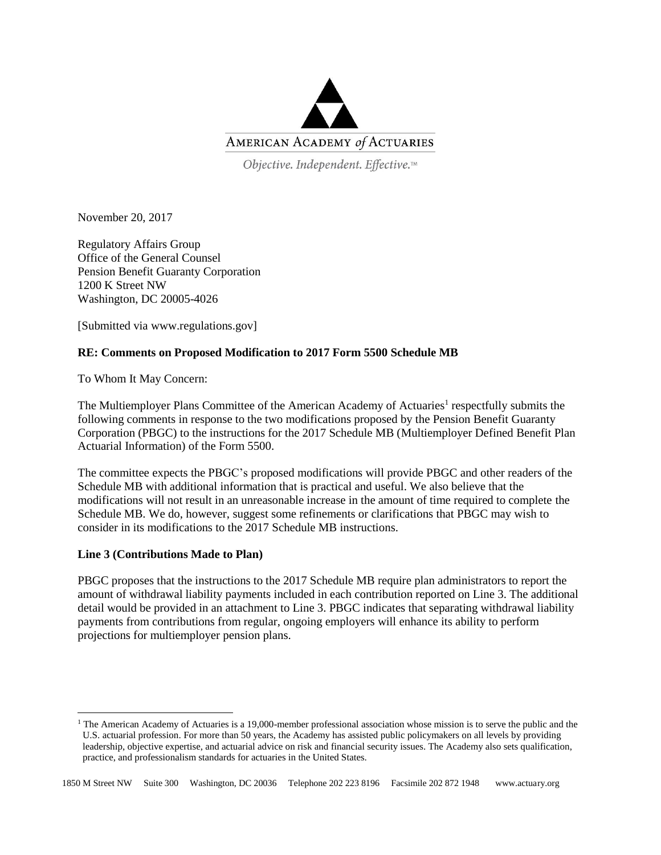

Objective. Independent. Effective.™

November 20, 2017

Regulatory Affairs Group Office of the General Counsel Pension Benefit Guaranty Corporation 1200 K Street NW Washington, DC 20005-4026

[Submitted via www.regulations.gov]

## **RE: Comments on Proposed Modification to 2017 Form 5500 Schedule MB**

To Whom It May Concern:

The Multiemployer Plans Committee of the American Academy of Actuaries<sup>1</sup> respectfully submits the following comments in response to the two modifications proposed by the Pension Benefit Guaranty Corporation (PBGC) to the instructions for the 2017 Schedule MB (Multiemployer Defined Benefit Plan Actuarial Information) of the Form 5500.

The committee expects the PBGC's proposed modifications will provide PBGC and other readers of the Schedule MB with additional information that is practical and useful. We also believe that the modifications will not result in an unreasonable increase in the amount of time required to complete the Schedule MB. We do, however, suggest some refinements or clarifications that PBGC may wish to consider in its modifications to the 2017 Schedule MB instructions.

## **Line 3 (Contributions Made to Plan)**

 $\overline{a}$ 

PBGC proposes that the instructions to the 2017 Schedule MB require plan administrators to report the amount of withdrawal liability payments included in each contribution reported on Line 3. The additional detail would be provided in an attachment to Line 3. PBGC indicates that separating withdrawal liability payments from contributions from regular, ongoing employers will enhance its ability to perform projections for multiemployer pension plans.

 $1$  The American Academy of Actuaries is a 19,000-member professional association whose mission is to serve the public and the U.S. actuarial profession. For more than 50 years, the Academy has assisted public policymakers on all levels by providing leadership, objective expertise, and actuarial advice on risk and financial security issues. The Academy also sets qualification, practice, and professionalism standards for actuaries in the United States.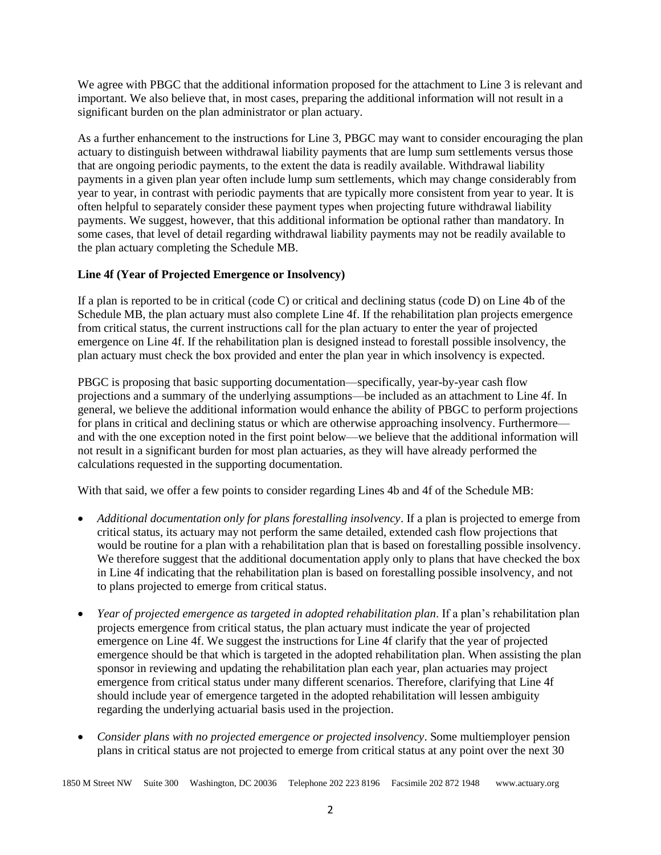We agree with PBGC that the additional information proposed for the attachment to Line 3 is relevant and important. We also believe that, in most cases, preparing the additional information will not result in a significant burden on the plan administrator or plan actuary.

As a further enhancement to the instructions for Line 3, PBGC may want to consider encouraging the plan actuary to distinguish between withdrawal liability payments that are lump sum settlements versus those that are ongoing periodic payments, to the extent the data is readily available. Withdrawal liability payments in a given plan year often include lump sum settlements, which may change considerably from year to year, in contrast with periodic payments that are typically more consistent from year to year. It is often helpful to separately consider these payment types when projecting future withdrawal liability payments. We suggest, however, that this additional information be optional rather than mandatory. In some cases, that level of detail regarding withdrawal liability payments may not be readily available to the plan actuary completing the Schedule MB.

## **Line 4f (Year of Projected Emergence or Insolvency)**

If a plan is reported to be in critical (code C) or critical and declining status (code D) on Line 4b of the Schedule MB, the plan actuary must also complete Line 4f. If the rehabilitation plan projects emergence from critical status, the current instructions call for the plan actuary to enter the year of projected emergence on Line 4f. If the rehabilitation plan is designed instead to forestall possible insolvency, the plan actuary must check the box provided and enter the plan year in which insolvency is expected.

PBGC is proposing that basic supporting documentation—specifically, year-by-year cash flow projections and a summary of the underlying assumptions—be included as an attachment to Line 4f. In general, we believe the additional information would enhance the ability of PBGC to perform projections for plans in critical and declining status or which are otherwise approaching insolvency. Furthermore and with the one exception noted in the first point below—we believe that the additional information will not result in a significant burden for most plan actuaries, as they will have already performed the calculations requested in the supporting documentation.

With that said, we offer a few points to consider regarding Lines 4b and 4f of the Schedule MB:

- *Additional documentation only for plans forestalling insolvency*. If a plan is projected to emerge from critical status, its actuary may not perform the same detailed, extended cash flow projections that would be routine for a plan with a rehabilitation plan that is based on forestalling possible insolvency. We therefore suggest that the additional documentation apply only to plans that have checked the box in Line 4f indicating that the rehabilitation plan is based on forestalling possible insolvency, and not to plans projected to emerge from critical status.
- *Year of projected emergence as targeted in adopted rehabilitation plan*. If a plan's rehabilitation plan projects emergence from critical status, the plan actuary must indicate the year of projected emergence on Line 4f. We suggest the instructions for Line 4f clarify that the year of projected emergence should be that which is targeted in the adopted rehabilitation plan. When assisting the plan sponsor in reviewing and updating the rehabilitation plan each year, plan actuaries may project emergence from critical status under many different scenarios. Therefore, clarifying that Line 4f should include year of emergence targeted in the adopted rehabilitation will lessen ambiguity regarding the underlying actuarial basis used in the projection.
- *Consider plans with no projected emergence or projected insolvency*. Some multiemployer pension plans in critical status are not projected to emerge from critical status at any point over the next 30

1850 M Street NW Suite 300 Washington, DC 20036 Telephone 202 223 8196 Facsimile 202 872 1948 www.actuary.org